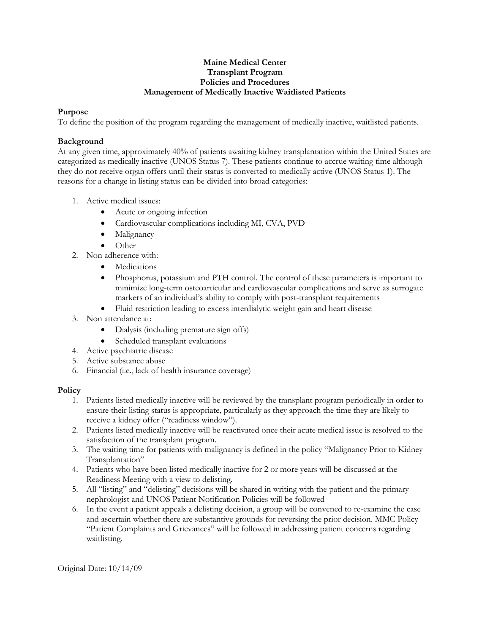## **Maine Medical Center Transplant Program Policies and Procedures Management of Medically Inactive Waitlisted Patients**

## **Purpose**

To define the position of the program regarding the management of medically inactive, waitlisted patients.

## **Background**

At any given time, approximately 40% of patients awaiting kidney transplantation within the United States are categorized as medically inactive (UNOS Status 7). These patients continue to accrue waiting time although they do not receive organ offers until their status is converted to medically active (UNOS Status 1). The reasons for a change in listing status can be divided into broad categories:

- 1. Active medical issues:
	- Acute or ongoing infection
	- Cardiovascular complications including MI, CVA, PVD
	- Malignancy
	- Other
- 2. Non adherence with:
	- Medications
	- Phosphorus, potassium and PTH control. The control of these parameters is important to minimize long-term osteoarticular and cardiovascular complications and serve as surrogate markers of an individual's ability to comply with post-transplant requirements
	- Fluid restriction leading to excess interdialytic weight gain and heart disease
- 3. Non attendance at:
	- Dialysis (including premature sign offs)
	- Scheduled transplant evaluations
- 4. Active psychiatric disease
- 5. Active substance abuse
- 6. Financial (i.e., lack of health insurance coverage)

## **Policy**

- 1. Patients listed medically inactive will be reviewed by the transplant program periodically in order to ensure their listing status is appropriate, particularly as they approach the time they are likely to receive a kidney offer ("readiness window").
- 2. Patients listed medically inactive will be reactivated once their acute medical issue is resolved to the satisfaction of the transplant program.
- 3. The waiting time for patients with malignancy is defined in the policy "Malignancy Prior to Kidney Transplantation"
- 4. Patients who have been listed medically inactive for 2 or more years will be discussed at the Readiness Meeting with a view to delisting.
- 5. All "listing" and "delisting" decisions will be shared in writing with the patient and the primary nephrologist and UNOS Patient Notification Policies will be followed
- 6. In the event a patient appeals a delisting decision, a group will be convened to re-examine the case and ascertain whether there are substantive grounds for reversing the prior decision. MMC Policy "Patient Complaints and Grievances" will be followed in addressing patient concerns regarding waitlisting.

Original Date: 10/14/09